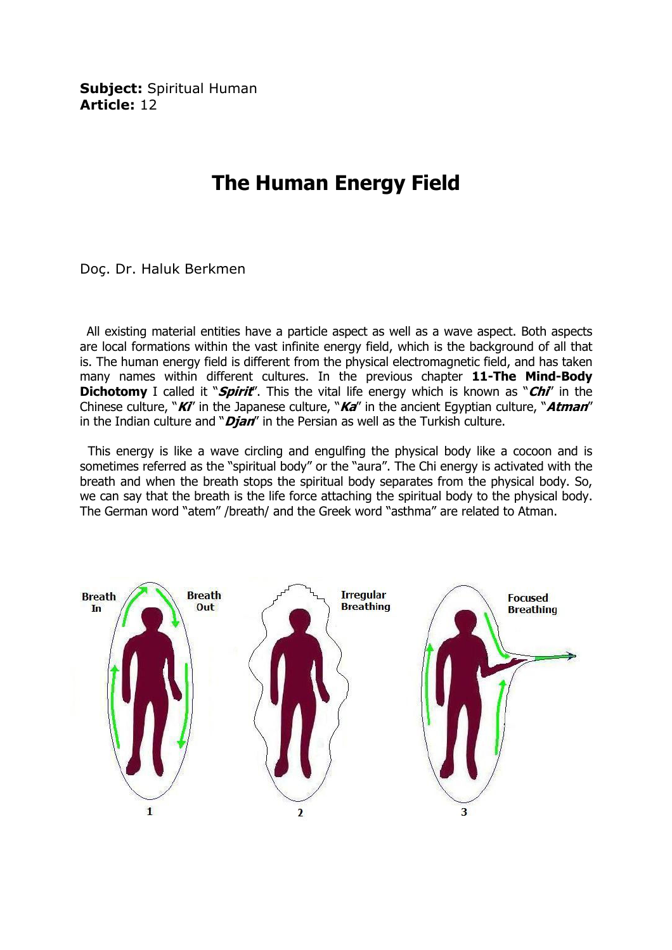Subject: Spiritual Human Article: 12

## The Human Energy Field

Doç. Dr. Haluk Berkmen

 All existing material entities have a particle aspect as well as a wave aspect. Both aspects are local formations within the vast infinite energy field, which is the background of all that is. The human energy field is different from the physical electromagnetic field, and has taken many names within different cultures. In the previous chapter 11-The Mind-Body **Dichotomy** I called it "*Spirit*". This the vital life energy which is known as "*Chi*' in the Chinese culture, " $KI'$  in the Japanese culture, " $Ka''$  in the ancient Egyptian culture, " $Atman''$ in the Indian culture and " $Dj$ an" in the Persian as well as the Turkish culture.

 This energy is like a wave circling and engulfing the physical body like a cocoon and is sometimes referred as the "spiritual body" or the "aura". The Chi energy is activated with the breath and when the breath stops the spiritual body separates from the physical body. So, we can say that the breath is the life force attaching the spiritual body to the physical body. The German word "atem" /breath/ and the Greek word "asthma" are related to Atman.